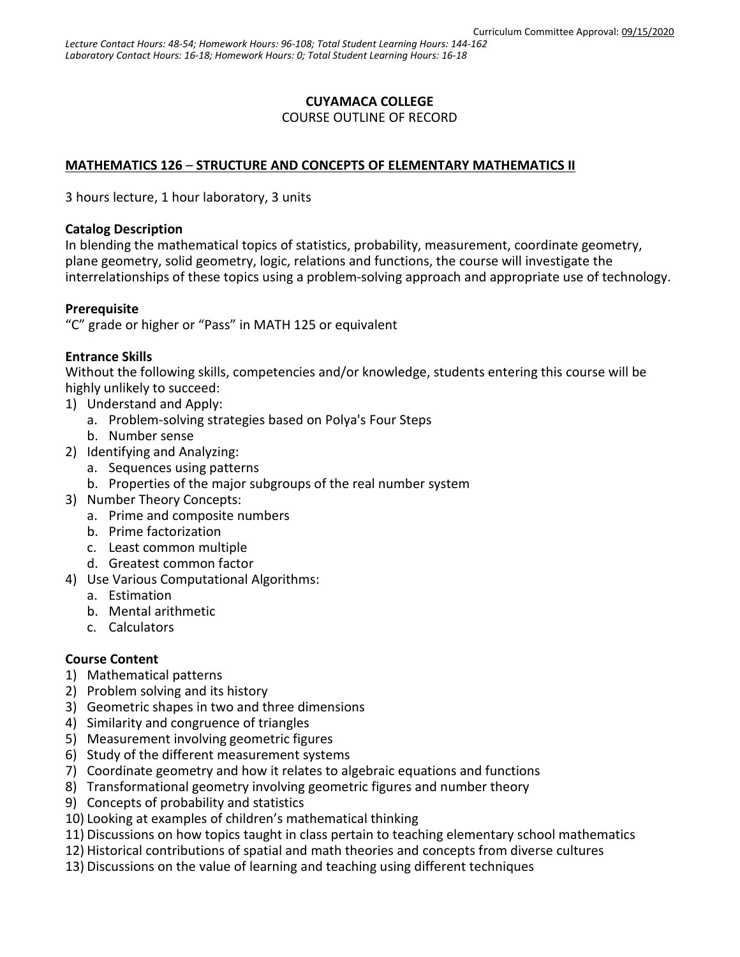## **CUYAMACA COLLEGE**

COURSE OUTLINE OF RECORD

### **MATHEMATICS 126** – **STRUCTURE AND CONCEPTS OF ELEMENTARY MATHEMATICS II**

3 hours lecture, 1 hour laboratory, 3 units

#### **Catalog Description**

In blending the mathematical topics of statistics, probability, measurement, coordinate geometry, plane geometry, solid geometry, logic, relations and functions, the course will investigate the interrelationships of these topics using a problem-solving approach and appropriate use of technology.

### **Prerequisite**

"C" grade or higher or "Pass" in MATH 125 or equivalent

### **Entrance Skills**

Without the following skills, competencies and/or knowledge, students entering this course will be highly unlikely to succeed:

- 1) Understand and Apply:
	- a. Problem-solving strategies based on Polya's Four Steps
	- b. Number sense
- 2) Identifying and Analyzing:
	- a. Sequences using patterns
	- b. Properties of the major subgroups of the real number system
- 3) Number Theory Concepts:
	- a. Prime and composite numbers
	- b. Prime factorization
	- c. Least common multiple
	- d. Greatest common factor
- 4) Use Various Computational Algorithms:
	- a. Estimation
	- b. Mental arithmetic
	- c. Calculators

### **Course Content**

- 1) Mathematical patterns
- 2) Problem solving and its history
- 3) Geometric shapes in two and three dimensions
- 4) Similarity and congruence of triangles
- 5) Measurement involving geometric figures
- 6) Study of the different measurement systems
- 7) Coordinate geometry and how it relates to algebraic equations and functions
- 8) Transformational geometry involving geometric figures and number theory
- 9) Concepts of probability and statistics
- 10) Looking at examples of children's mathematical thinking
- 11) Discussions on how topics taught in class pertain to teaching elementary school mathematics
- 12) Historical contributions of spatial and math theories and concepts from diverse cultures
- 13) Discussions on the value of learning and teaching using different techniques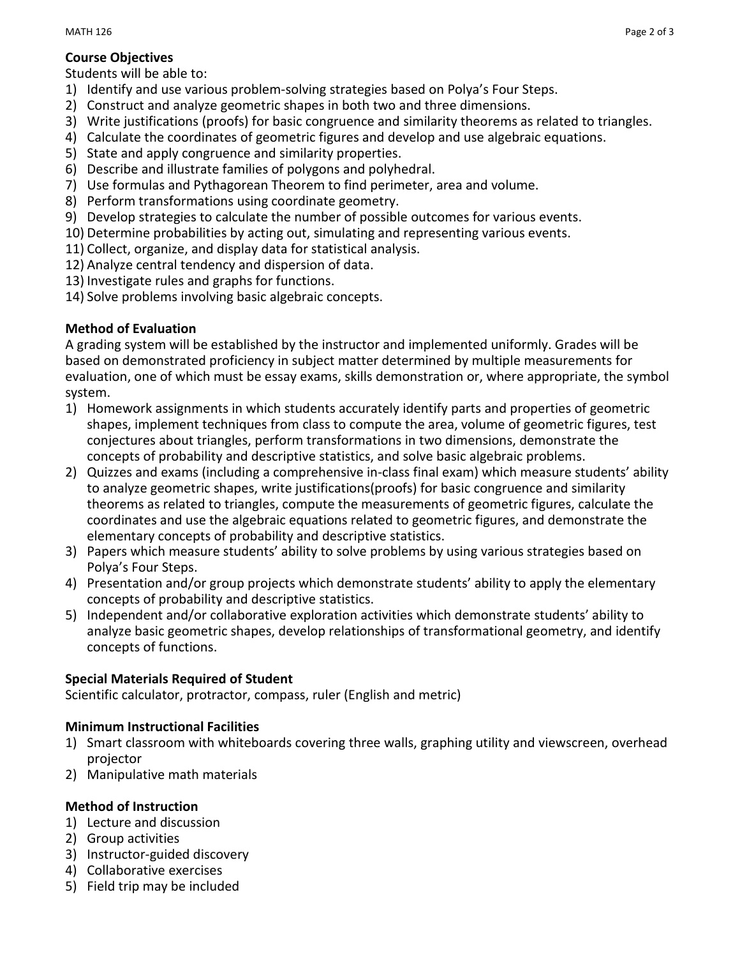## **Course Objectives**

Students will be able to:

- 1) Identify and use various problem-solving strategies based on Polya's Four Steps.
- 2) Construct and analyze geometric shapes in both two and three dimensions.
- 3) Write justifications (proofs) for basic congruence and similarity theorems as related to triangles.
- 4) Calculate the coordinates of geometric figures and develop and use algebraic equations.
- 5) State and apply congruence and similarity properties.
- 6) Describe and illustrate families of polygons and polyhedral.
- 7) Use formulas and Pythagorean Theorem to find perimeter, area and volume.
- 8) Perform transformations using coordinate geometry.
- 9) Develop strategies to calculate the number of possible outcomes for various events.
- 10) Determine probabilities by acting out, simulating and representing various events.
- 11) Collect, organize, and display data for statistical analysis.
- 12) Analyze central tendency and dispersion of data.
- 13) Investigate rules and graphs for functions.
- 14) Solve problems involving basic algebraic concepts.

# **Method of Evaluation**

A grading system will be established by the instructor and implemented uniformly. Grades will be based on demonstrated proficiency in subject matter determined by multiple measurements for evaluation, one of which must be essay exams, skills demonstration or, where appropriate, the symbol system.

- 1) Homework assignments in which students accurately identify parts and properties of geometric shapes, implement techniques from class to compute the area, volume of geometric figures, test conjectures about triangles, perform transformations in two dimensions, demonstrate the concepts of probability and descriptive statistics, and solve basic algebraic problems.
- 2) Quizzes and exams (including a comprehensive in-class final exam) which measure students' ability to analyze geometric shapes, write justifications(proofs) for basic congruence and similarity theorems as related to triangles, compute the measurements of geometric figures, calculate the coordinates and use the algebraic equations related to geometric figures, and demonstrate the elementary concepts of probability and descriptive statistics.
- 3) Papers which measure students' ability to solve problems by using various strategies based on Polya's Four Steps.
- 4) Presentation and/or group projects which demonstrate students' ability to apply the elementary concepts of probability and descriptive statistics.
- 5) Independent and/or collaborative exploration activities which demonstrate students' ability to analyze basic geometric shapes, develop relationships of transformational geometry, and identify concepts of functions.

# **Special Materials Required of Student**

Scientific calculator, protractor, compass, ruler (English and metric)

# **Minimum Instructional Facilities**

- 1) Smart classroom with whiteboards covering three walls, graphing utility and viewscreen, overhead projector
- 2) Manipulative math materials

## **Method of Instruction**

- 1) Lecture and discussion
- 2) Group activities
- 3) Instructor-guided discovery
- 4) Collaborative exercises
- 5) Field trip may be included